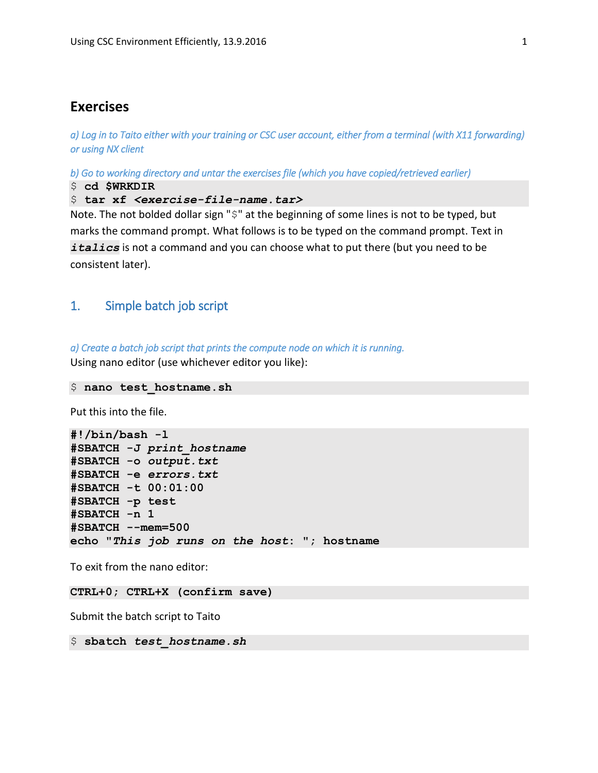# **Exercises**

*a) Log in to Taito either with your training or CSC user account, either from a terminal (with X11 forwarding) or using NX client* 

*b) Go to working directory and untar the exercises file (which you have copied/retrieved earlier)* 

\$ **cd \$WRKDIR**

\$ tar xf <exercise-file-name.tar>

Note. The not bolded dollar sign "\$" at the beginning of some lines is not to be typed, but marks the command prompt. What follows is to be typed on the command prompt. Text in *italics* is not a command and you can choose what to put there (but you need to be consistent later).

# 1. Simple batch job script

*a) Create a batch job script that prints the compute node on which it is running.*  Using nano editor (use whichever editor you like):

```
$ nano test_hostname.sh
```
Put this into the file.

```
#!/bin/bash -l
#SBATCH -J print_hostname
#SBATCH -o output.txt
#SBATCH -e errors.txt
#SBATCH -t 00:01:00
#SBATCH -p test
#SBATCH -n 1
#SBATCH --mem=500
echo "This job runs on the host: "; hostname
```
To exit from the nano editor:

**CTRL+0; CTRL+X (confirm save)**

Submit the batch script to Taito

\$ **sbatch** *test\_hostname.sh*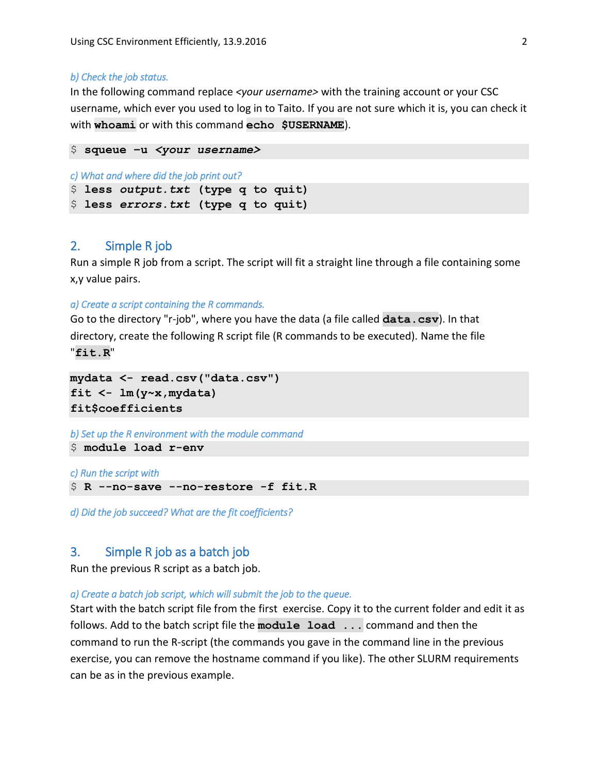#### *b) Check the job status.*

In the following command replace *<your username>* with the training account or your CSC username, which ever you used to log in to Taito. If you are not sure which it is, you can check it with **whoami** or with this command **echo \$USERNAME**).

```
$ squeue –u <your username>
c) What and where did the job print out? 
$ less output.txt (type q to quit)
$ less errors.txt (type q to quit)
```
# 2. Simple R job

Run a simple R job from a script. The script will fit a straight line through a file containing some x,y value pairs.

```
a) Create a script containing the R commands.
```
Go to the directory "r-job", where you have the data (a file called **data.csv**). In that directory, create the following R script file (R commands to be executed). Name the file "**fit.R**"

```
mydata <- read.csv("data.csv")
fit <- lm(y~x,mydata)
fit$coefficients
```
*b) Set up the R environment with the module command*  \$ **module load r-env**

*c) Run the script with* 

\$ **R --no-save --no-restore -f fit.R**

*d) Did the job succeed? What are the fit coefficients?* 

# 3. Simple R job as a batch job

Run the previous R script as a batch job.

#### *a) Create a batch job script, which will submit the job to the queue.*

Start with the batch script file from the first exercise. Copy it to the current folder and edit it as follows. Add to the batch script file the **module load ...** command and then the command to run the R-script (the commands you gave in the command line in the previous exercise, you can remove the hostname command if you like). The other SLURM requirements can be as in the previous example.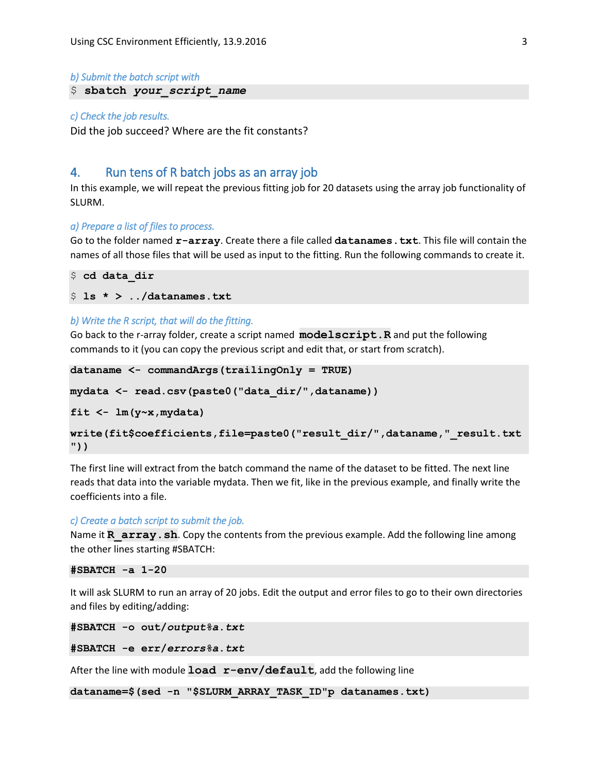```
b) Submit the batch script with
```
# \$ **sbatch** *your\_script\_name*

#### *c) Check the job results.*

Did the job succeed? Where are the fit constants?

# 4. Run tens of R batch jobs as an array job

In this example, we will repeat the previous fitting job for 20 datasets using the array job functionality of SLURM.

#### *a) Prepare a list of files to process.*

Go to the folder named **r-array**. Create there a file called **datanames.txt**. This file will contain the names of all those files that will be used as input to the fitting. Run the following commands to create it.

```
$ cd data_dir
$ ls * > ../datanames.txt
```
### *b) Write the R script, that will do the fitting.*

Go back to the r-array folder, create a script named **modelscript.R** and put the following commands to it (you can copy the previous script and edit that, or start from scratch).

```
dataname <- commandArgs(trailingOnly = TRUE)
```

```
mydata <- read.csv(paste0("data_dir/",dataname))
```
**fit <- lm(y~x,mydata)**

```
write(fit$coefficients,file=paste0("result_dir/",dataname,"_result.txt
"))
```
The first line will extract from the batch command the name of the dataset to be fitted. The next line reads that data into the variable mydata. Then we fit, like in the previous example, and finally write the coefficients into a file.

#### *c) Create a batch script to submit the job.*

Name it **R** array. sh. Copy the contents from the previous example. Add the following line among the other lines starting #SBATCH:

```
#SBATCH -a 1-20
```
It will ask SLURM to run an array of 20 jobs. Edit the output and error files to go to their own directories and files by editing/adding:

```
#SBATCH -o out/output%a.txt
```
**#SBATCH -e err/***errors%a.txt*

After the line with module **load r-env/default**, add the following line

**dataname=\$(sed -n "\$SLURM\_ARRAY\_TASK\_ID"p datanames.txt)**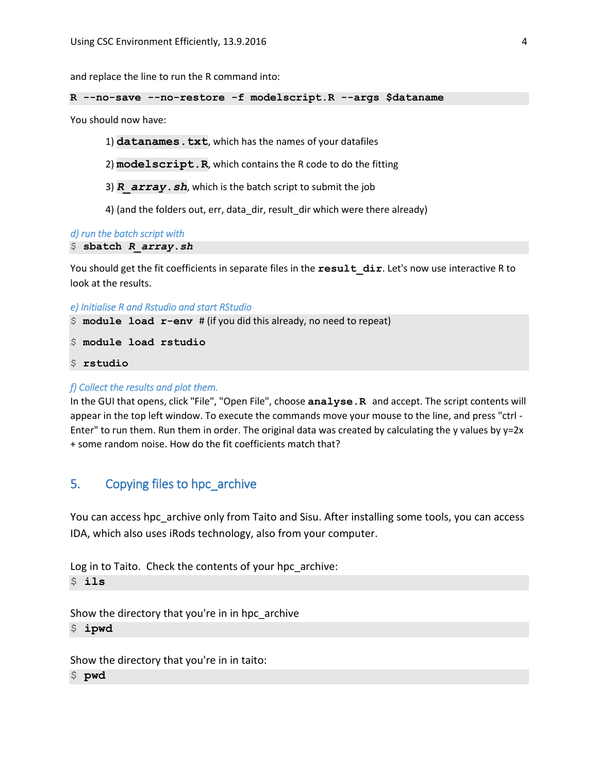and replace the line to run the R command into:

#### **R --no-save --no-restore -f modelscript.R --args \$dataname**

You should now have:

- 1) **datanames.txt**, which has the names of your datafiles
- 2) **modelscript.R**, which contains the R code to do the fitting
- 3) **R** array. sh, which is the batch script to submit the job
- 4) (and the folders out, err, data\_dir, result\_dir which were there already)

*d) run the batch script with* 

```
$ sbatch R_array.sh
```
You should get the fit coefficients in separate files in the **result dir**. Let's now use interactive R to look at the results.

```
e) Initialise R and Rstudio and start RStudio
```
\$ **module load r-env** # (if you did this already, no need to repeat)

\$ **module load rstudio**

\$ **rstudio**

#### *f) Collect the results and plot them.*

In the GUI that opens, click "File", "Open File", choose **analyse.R** and accept. The script contents will appear in the top left window. To execute the commands move your mouse to the line, and press "ctrl - Enter" to run them. Run them in order. The original data was created by calculating the y values by y=2x + some random noise. How do the fit coefficients match that?

# 5. Copying files to hpc\_archive

You can access hpc archive only from Taito and Sisu. After installing some tools, you can access IDA, which also uses iRods technology, also from your computer.

```
Log in to Taito. Check the contents of your hpc_archive:
$ ils
```
Show the directory that you're in in hpc\_archive \$ **ipwd**

Show the directory that you're in in taito:

\$ **pwd**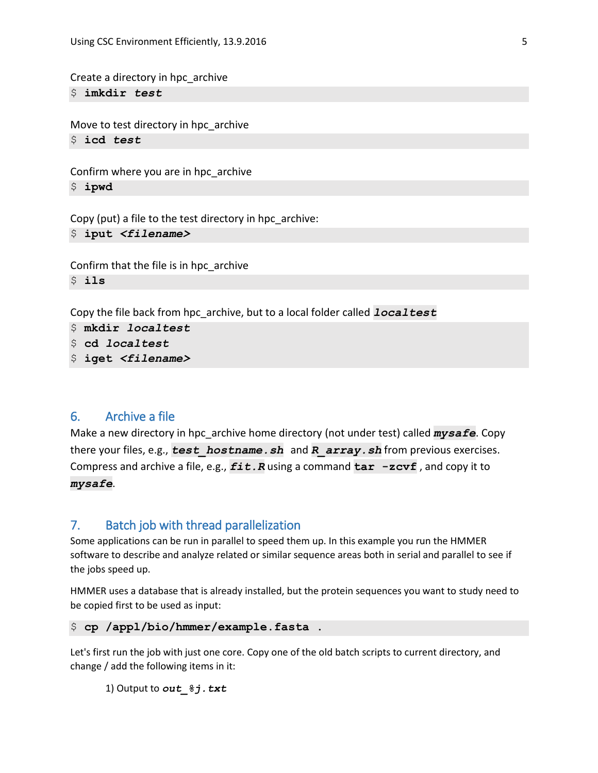Create a directory in hpc\_archive

\$ **imkdir** *test*

Move to test directory in hpc archive \$ **icd** *test*

Confirm where you are in hpc\_archive \$ **ipwd**

Copy (put) a file to the test directory in hpc\_archive: \$ **iput** *<filename>*

Confirm that the file is in hpc\_archive \$ **ils**

Copy the file back from hpc\_archive, but to a local folder called *localtest*

```
$ mkdir localtest
```
- \$ **cd** *localtest*
- \$ **iget** *<filename>*

# 6. Archive a file

Make a new directory in hpc\_archive home directory (not under test) called *mysafe*. Copy there your files, e.g., *test\_hostname.sh* and *R\_array.sh* from previous exercises. Compress and archive a file, e.g., *fit.R* using a command **tar -zcvf** , and copy it to *mysafe*.

# 7. Batch job with thread parallelization

Some applications can be run in parallel to speed them up. In this example you run the HMMER software to describe and analyze related or similar sequence areas both in serial and parallel to see if the jobs speed up.

HMMER uses a database that is already installed, but the protein sequences you want to study need to be copied first to be used as input:

\$ **cp /appl/bio/hmmer/example.fasta .**

Let's first run the job with just one core. Copy one of the old batch scripts to current directory, and change / add the following items in it:

1) Output to *out\_%j.txt*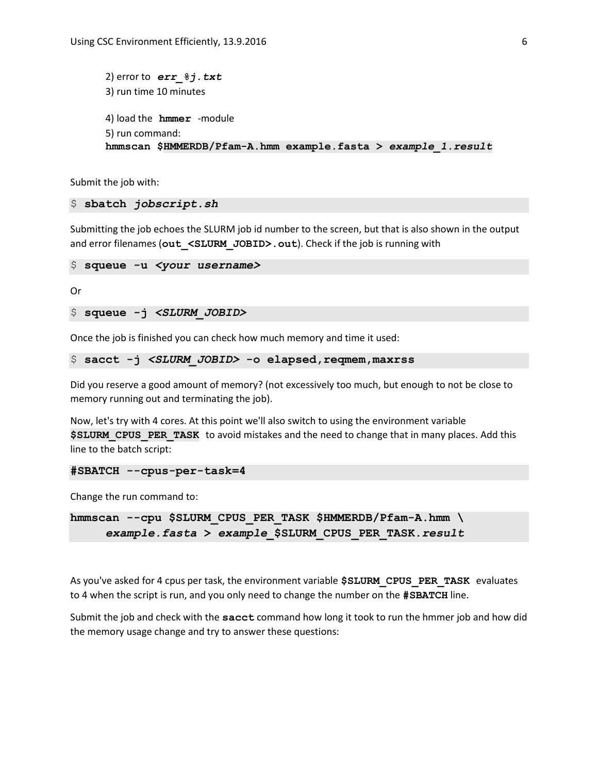```
2) error to err_%j.txt
3) run time 10 minutes
4) load the hmmer -module
5) run command: 
hmmscan $HMMERDB/Pfam-A.hmm example.fasta > example_1.result
```
Submit the job with:

### \$ **sbatch** *jobscript.sh*

Submitting the job echoes the SLURM job id number to the screen, but that is also shown in the output and error filenames (out <SLURM\_JOBID>.out). Check if the job is running with

```
$ squeue -u <your username>
```
Or

```
$ squeue -j <SLURM_JOBID>
```
Once the job is finished you can check how much memory and time it used:

```
$ sacct -j <SLURM_JOBID> -o elapsed,reqmem,maxrss
```
Did you reserve a good amount of memory? (not excessively too much, but enough to not be close to memory running out and terminating the job).

Now, let's try with 4 cores. At this point we'll also switch to using the environment variable **\$SLURM\_CPUS\_PER\_TASK\_to avoid mistakes and the need to change that in many places. Add this** line to the batch script:

```
#SBATCH --cpus-per-task=4
```
Change the run command to:

**hmmscan --cpu \$SLURM\_CPUS\_PER\_TASK \$HMMERDB/Pfam-A.hmm \** *example.fasta* **>** *example\_***\$SLURM\_CPUS\_PER\_TASK***.result*

As you've asked for 4 cpus per task, the environment variable **\$SLURM\_CPUS\_PER\_TASK** evaluates to 4 when the script is run, and you only need to change the number on the **#SBATCH** line.

Submit the job and check with the **sacct** command how long it took to run the hmmer job and how did the memory usage change and try to answer these questions: